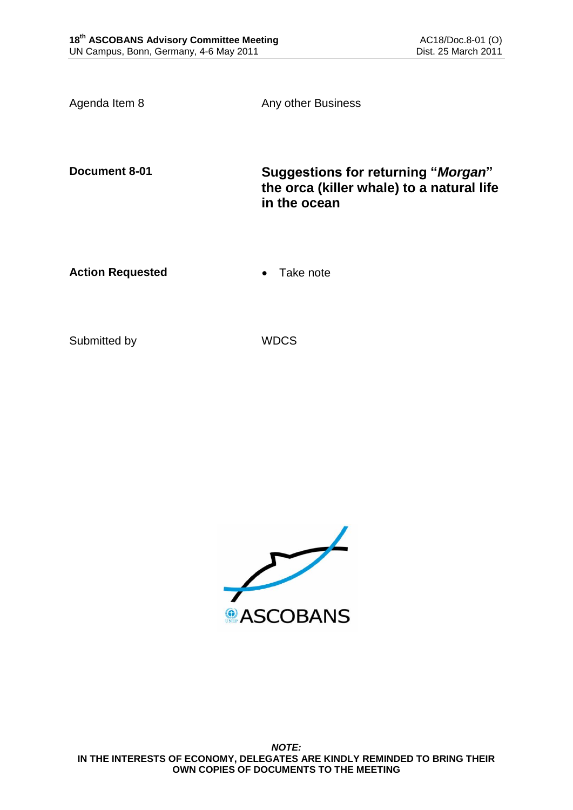Agenda Item 8 Any other Business

**Document 8-01 Suggestions for returning "***Morgan***" the orca (killer whale) to a natural life in the ocean**

Action Requested **Canadian Exercise Action Requested Canadian Exercise** 

Submitted by WDCS

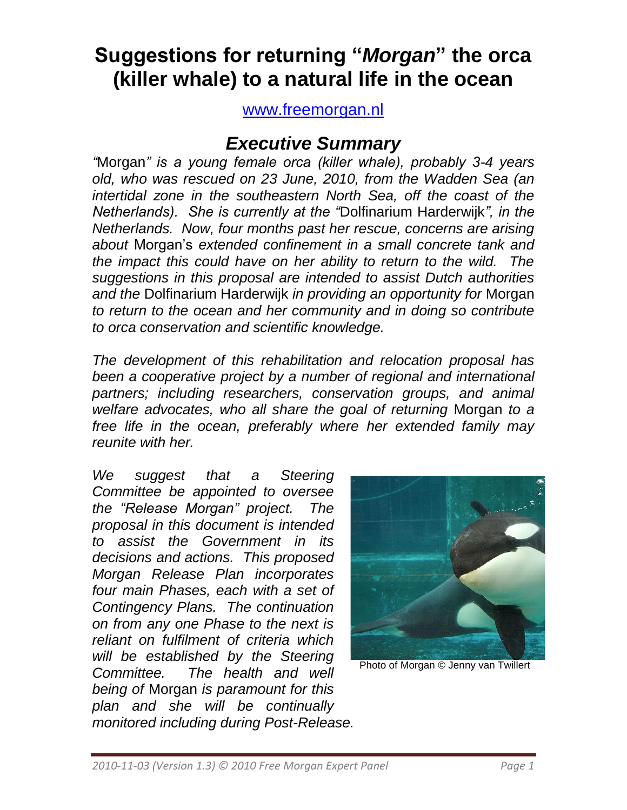# **Suggestions for returning "***Morgan***" the orca (killer whale) to a natural life in the ocean**

[www.freemorgan.nl](http://www.freemorgan.nl/)

# *Executive Summary*

*"*Morgan*" is a young female orca (killer whale), probably 3-4 years old, who was rescued on 23 June, 2010, from the Wadden Sea (an intertidal zone in the southeastern North Sea, off the coast of the Netherlands). She is currently at the "*Dolfinarium Harderwijk*", in the Netherlands. Now, four months past her rescue, concerns are arising about* Morgan"s *extended confinement in a small concrete tank and the impact this could have on her ability to return to the wild. The suggestions in this proposal are intended to assist Dutch authorities and the* Dolfinarium Harderwijk *in providing an opportunity for* Morgan *to return to the ocean and her community and in doing so contribute to orca conservation and scientific knowledge.*

*The development of this rehabilitation and relocation proposal has been a cooperative project by a number of regional and international partners; including researchers, conservation groups, and animal welfare advocates, who all share the goal of returning* Morgan *to a free life in the ocean, preferably where her extended family may reunite with her.*

*We suggest that a Steering Committee be appointed to oversee the "Release Morgan" project. The proposal in this document is intended to assist the Government in its decisions and actions. This proposed Morgan Release Plan incorporates four main Phases, each with a set of Contingency Plans. The continuation on from any one Phase to the next is reliant on fulfilment of criteria which will be established by the Steering Committee. The health and well being of* Morgan *is paramount for this plan and she will be continually monitored including during Post-Release.* 



Photo of Morgan © Jenny van Twillert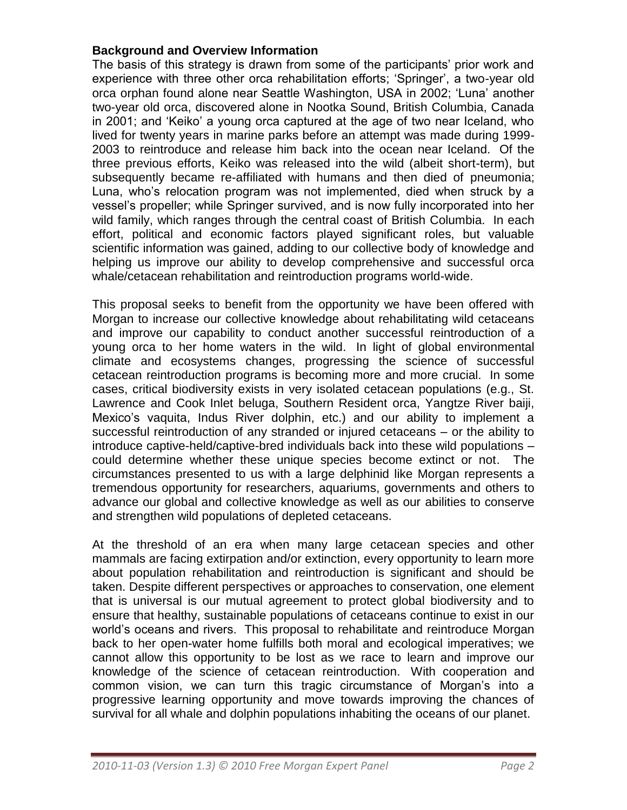#### **Background and Overview Information**

The basis of this strategy is drawn from some of the participants' prior work and experience with three other orca rehabilitation efforts; "Springer", a two-year old orca orphan found alone near Seattle Washington, USA in 2002; "Luna" another two-year old orca, discovered alone in Nootka Sound, British Columbia, Canada in 2001; and "Keiko" a young orca captured at the age of two near Iceland, who lived for twenty years in marine parks before an attempt was made during 1999- 2003 to reintroduce and release him back into the ocean near Iceland. Of the three previous efforts, Keiko was released into the wild (albeit short-term), but subsequently became re-affiliated with humans and then died of pneumonia; Luna, who"s relocation program was not implemented, died when struck by a vessel"s propeller; while Springer survived, and is now fully incorporated into her wild family, which ranges through the central coast of British Columbia. In each effort, political and economic factors played significant roles, but valuable scientific information was gained, adding to our collective body of knowledge and helping us improve our ability to develop comprehensive and successful orca whale/cetacean rehabilitation and reintroduction programs world-wide.

This proposal seeks to benefit from the opportunity we have been offered with Morgan to increase our collective knowledge about rehabilitating wild cetaceans and improve our capability to conduct another successful reintroduction of a young orca to her home waters in the wild. In light of global environmental climate and ecosystems changes, progressing the science of successful cetacean reintroduction programs is becoming more and more crucial. In some cases, critical biodiversity exists in very isolated cetacean populations (e.g., St. Lawrence and Cook Inlet beluga, Southern Resident orca, Yangtze River baiji, Mexico"s vaquita, Indus River dolphin, etc.) and our ability to implement a successful reintroduction of any stranded or injured cetaceans – or the ability to introduce captive-held/captive-bred individuals back into these wild populations – could determine whether these unique species become extinct or not. The circumstances presented to us with a large delphinid like Morgan represents a tremendous opportunity for researchers, aquariums, governments and others to advance our global and collective knowledge as well as our abilities to conserve and strengthen wild populations of depleted cetaceans.

At the threshold of an era when many large cetacean species and other mammals are facing extirpation and/or extinction, every opportunity to learn more about population rehabilitation and reintroduction is significant and should be taken. Despite different perspectives or approaches to conservation, one element that is universal is our mutual agreement to protect global biodiversity and to ensure that healthy, sustainable populations of cetaceans continue to exist in our world"s oceans and rivers. This proposal to rehabilitate and reintroduce Morgan back to her open-water home fulfills both moral and ecological imperatives; we cannot allow this opportunity to be lost as we race to learn and improve our knowledge of the science of cetacean reintroduction. With cooperation and common vision, we can turn this tragic circumstance of Morgan"s into a progressive learning opportunity and move towards improving the chances of survival for all whale and dolphin populations inhabiting the oceans of our planet.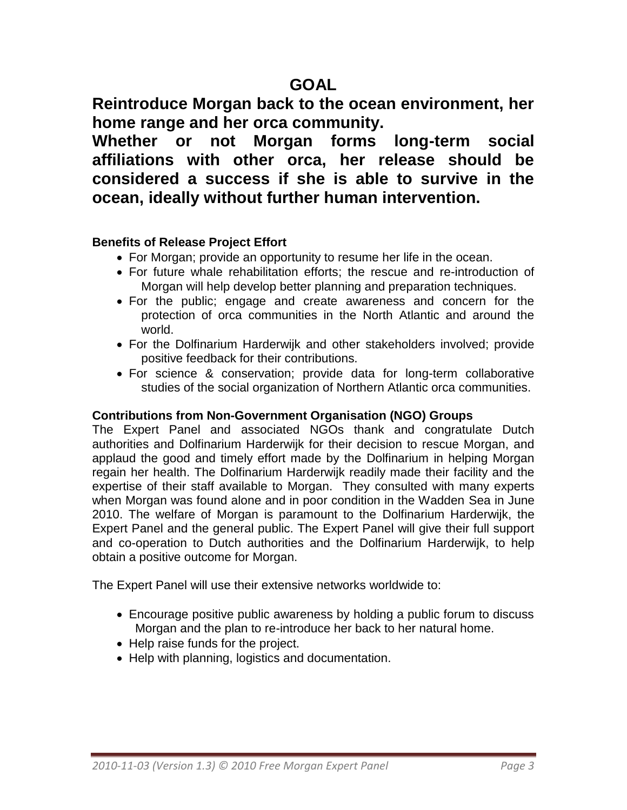**Reintroduce Morgan back to the ocean environment, her home range and her orca community.** 

**Whether or not Morgan forms long-term social affiliations with other orca, her release should be considered a success if she is able to survive in the ocean, ideally without further human intervention.**

## **Benefits of Release Project Effort**

- For Morgan; provide an opportunity to resume her life in the ocean.
- For future whale rehabilitation efforts; the rescue and re-introduction of Morgan will help develop better planning and preparation techniques.
- For the public; engage and create awareness and concern for the protection of orca communities in the North Atlantic and around the world.
- For the Dolfinarium Harderwijk and other stakeholders involved; provide positive feedback for their contributions.
- For science & conservation; provide data for long-term collaborative studies of the social organization of Northern Atlantic orca communities.

#### **Contributions from Non-Government Organisation (NGO) Groups**

The Expert Panel and associated NGOs thank and congratulate Dutch authorities and Dolfinarium Harderwijk for their decision to rescue Morgan, and applaud the good and timely effort made by the Dolfinarium in helping Morgan regain her health. The Dolfinarium Harderwijk readily made their facility and the expertise of their staff available to Morgan. They consulted with many experts when Morgan was found alone and in poor condition in the Wadden Sea in June 2010. The welfare of Morgan is paramount to the Dolfinarium Harderwijk, the Expert Panel and the general public. The Expert Panel will give their full support and co-operation to Dutch authorities and the Dolfinarium Harderwijk, to help obtain a positive outcome for Morgan.

The Expert Panel will use their extensive networks worldwide to:

- Encourage positive public awareness by holding a public forum to discuss Morgan and the plan to re-introduce her back to her natural home.
- Help raise funds for the project.
- Help with planning, logistics and documentation.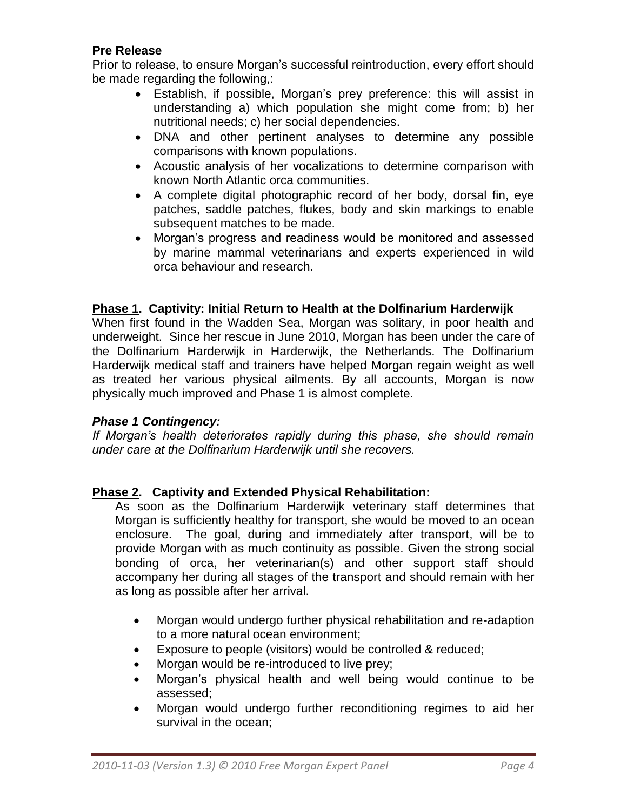# **Pre Release**

Prior to release, to ensure Morgan"s successful reintroduction, every effort should be made regarding the following,:

- Establish, if possible, Morgan"s prey preference: this will assist in understanding a) which population she might come from; b) her nutritional needs; c) her social dependencies.
- DNA and other pertinent analyses to determine any possible comparisons with known populations.
- Acoustic analysis of her vocalizations to determine comparison with known North Atlantic orca communities.
- A complete digital photographic record of her body, dorsal fin, eye patches, saddle patches, flukes, body and skin markings to enable subsequent matches to be made.
- Morgan"s progress and readiness would be monitored and assessed by marine mammal veterinarians and experts experienced in wild orca behaviour and research.

#### **Phase 1. Captivity: Initial Return to Health at the Dolfinarium Harderwijk**

When first found in the Wadden Sea, Morgan was solitary, in poor health and underweight. Since her rescue in June 2010, Morgan has been under the care of the Dolfinarium Harderwijk in Harderwijk, the Netherlands. The Dolfinarium Harderwijk medical staff and trainers have helped Morgan regain weight as well as treated her various physical ailments. By all accounts, Morgan is now physically much improved and Phase 1 is almost complete.

#### *Phase 1 Contingency:*

*If Morgan's health deteriorates rapidly during this phase, she should remain under care at the Dolfinarium Harderwijk until she recovers.*

# **Phase 2. Captivity and Extended Physical Rehabilitation:**

As soon as the Dolfinarium Harderwijk veterinary staff determines that Morgan is sufficiently healthy for transport, she would be moved to an ocean enclosure. The goal, during and immediately after transport, will be to provide Morgan with as much continuity as possible. Given the strong social bonding of orca, her veterinarian(s) and other support staff should accompany her during all stages of the transport and should remain with her as long as possible after her arrival.

- Morgan would undergo further physical rehabilitation and re-adaption to a more natural ocean environment;
- Exposure to people (visitors) would be controlled & reduced;
- Morgan would be re-introduced to live prey;
- Morgan"s physical health and well being would continue to be assessed;
- Morgan would undergo further reconditioning regimes to aid her survival in the ocean;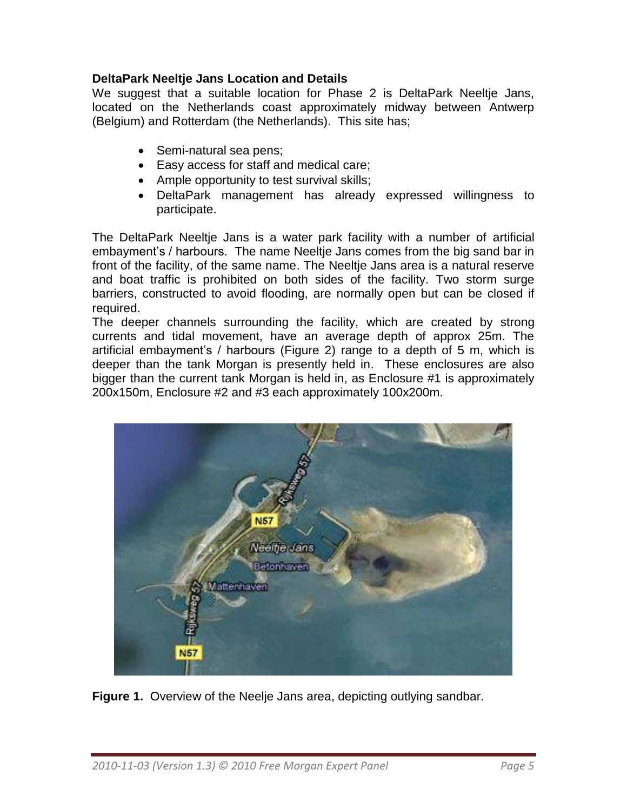# **DeltaPark Neeltje Jans Location and Details**

We suggest that a suitable location for Phase 2 is DeltaPark Neeltje Jans, located on the Netherlands coast approximately midway between Antwerp (Belgium) and Rotterdam (the Netherlands). This site has;

- Semi-natural sea pens;
- Easy access for staff and medical care;
- Ample opportunity to test survival skills;
- DeltaPark management has already expressed willingness to participate.

The DeltaPark Neeltje Jans is a water park facility with a number of artificial embayment"s / harbours. The name Neeltje Jans comes from the big sand bar in front of the facility, of the same name. The Neeltje Jans area is a natural reserve and boat traffic is prohibited on both sides of the facility. Two storm surge barriers, constructed to avoid flooding, are normally open but can be closed if required.

The deeper channels surrounding the facility, which are created by strong currents and tidal movement, have an average depth of approx 25m. The artificial embayment"s / harbours (Figure 2) range to a depth of 5 m, which is deeper than the tank Morgan is presently held in. These enclosures are also bigger than the current tank Morgan is held in, as Enclosure #1 is approximately 200x150m, Enclosure #2 and #3 each approximately 100x200m.



**Figure 1.** Overview of the Neelje Jans area, depicting outlying sandbar.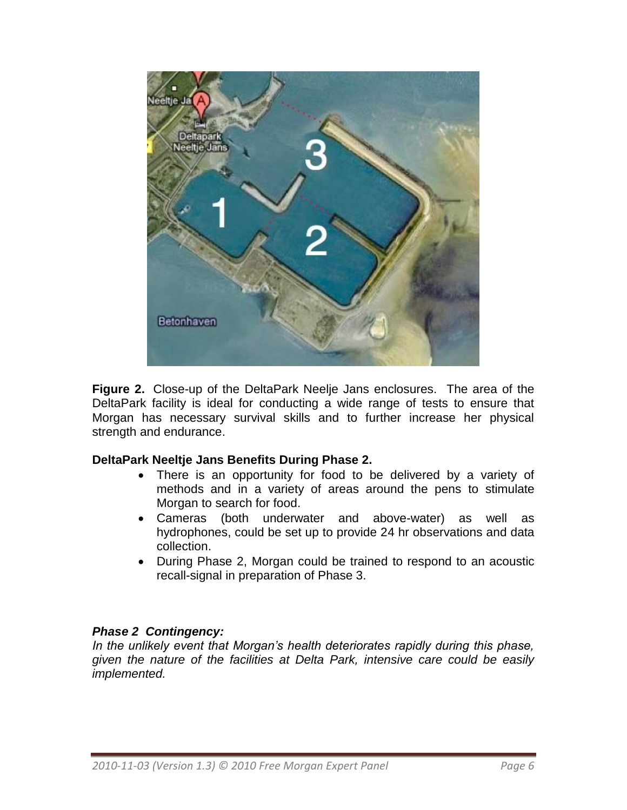

**Figure 2.** Close-up of the DeltaPark Neelje Jans enclosures. The area of the DeltaPark facility is ideal for conducting a wide range of tests to ensure that Morgan has necessary survival skills and to further increase her physical strength and endurance.

# **DeltaPark Neeltje Jans Benefits During Phase 2.**

- There is an opportunity for food to be delivered by a variety of methods and in a variety of areas around the pens to stimulate Morgan to search for food.
- Cameras (both underwater and above-water) as well as hydrophones, could be set up to provide 24 hr observations and data collection.
- During Phase 2, Morgan could be trained to respond to an acoustic recall-signal in preparation of Phase 3.

# *Phase 2 Contingency:*

*In the unlikely event that Morgan's health deteriorates rapidly during this phase, given the nature of the facilities at Delta Park, intensive care could be easily implemented.*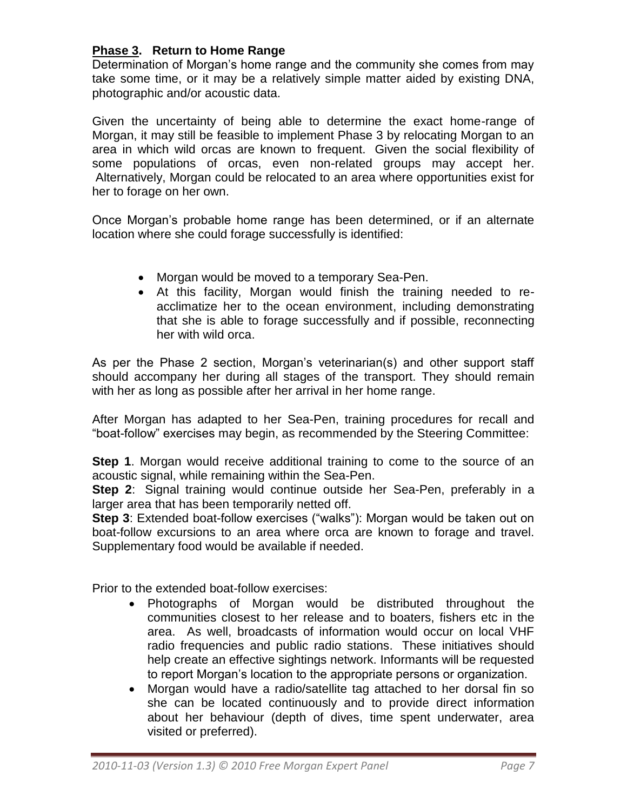# **Phase 3. Return to Home Range**

Determination of Morgan"s home range and the community she comes from may take some time, or it may be a relatively simple matter aided by existing DNA, photographic and/or acoustic data.

Given the uncertainty of being able to determine the exact home-range of Morgan, it may still be feasible to implement Phase 3 by relocating Morgan to an area in which wild orcas are known to frequent. Given the social flexibility of some populations of orcas, even non-related groups may accept her. Alternatively, Morgan could be relocated to an area where opportunities exist for her to forage on her own.

Once Morgan"s probable home range has been determined, or if an alternate location where she could forage successfully is identified:

- Morgan would be moved to a temporary Sea-Pen.
- At this facility, Morgan would finish the training needed to reacclimatize her to the ocean environment, including demonstrating that she is able to forage successfully and if possible, reconnecting her with wild orca.

As per the Phase 2 section, Morgan"s veterinarian(s) and other support staff should accompany her during all stages of the transport. They should remain with her as long as possible after her arrival in her home range.

After Morgan has adapted to her Sea-Pen, training procedures for recall and "boat-follow" exercises may begin, as recommended by the Steering Committee:

**Step 1**. Morgan would receive additional training to come to the source of an acoustic signal, while remaining within the Sea-Pen.

**Step 2**: Signal training would continue outside her Sea-Pen, preferably in a larger area that has been temporarily netted off.

**Step 3**: Extended boat-follow exercises ("walks"): Morgan would be taken out on boat-follow excursions to an area where orca are known to forage and travel. Supplementary food would be available if needed.

Prior to the extended boat-follow exercises:

- Photographs of Morgan would be distributed throughout the communities closest to her release and to boaters, fishers etc in the area. As well, broadcasts of information would occur on local VHF radio frequencies and public radio stations. These initiatives should help create an effective sightings network. Informants will be requested to report Morgan"s location to the appropriate persons or organization.
- Morgan would have a radio/satellite tag attached to her dorsal fin so she can be located continuously and to provide direct information about her behaviour (depth of dives, time spent underwater, area visited or preferred).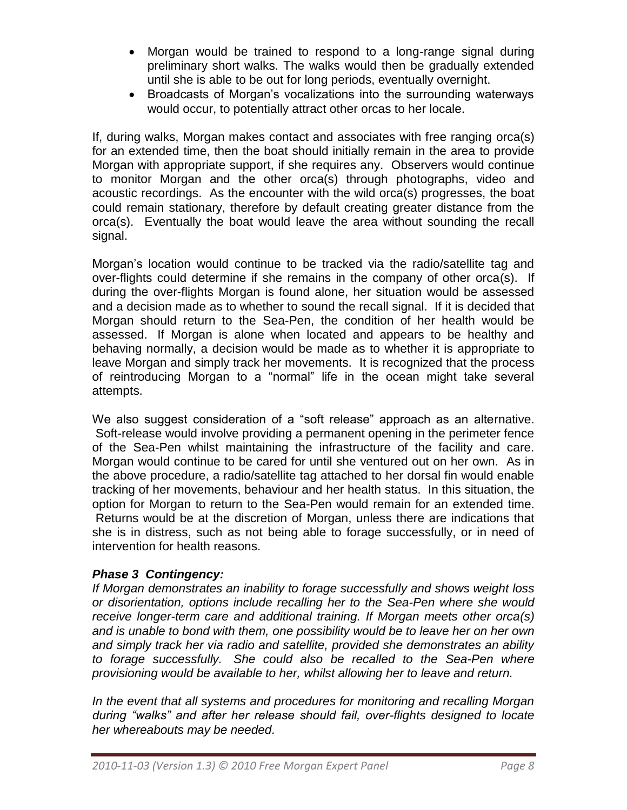- Morgan would be trained to respond to a long-range signal during preliminary short walks. The walks would then be gradually extended until she is able to be out for long periods, eventually overnight.
- Broadcasts of Morgan's vocalizations into the surrounding waterways would occur, to potentially attract other orcas to her locale.

If, during walks, Morgan makes contact and associates with free ranging orca(s) for an extended time, then the boat should initially remain in the area to provide Morgan with appropriate support, if she requires any. Observers would continue to monitor Morgan and the other orca(s) through photographs, video and acoustic recordings. As the encounter with the wild orca(s) progresses, the boat could remain stationary, therefore by default creating greater distance from the orca(s). Eventually the boat would leave the area without sounding the recall signal.

Morgan"s location would continue to be tracked via the radio/satellite tag and over-flights could determine if she remains in the company of other orca(s). If during the over-flights Morgan is found alone, her situation would be assessed and a decision made as to whether to sound the recall signal. If it is decided that Morgan should return to the Sea-Pen, the condition of her health would be assessed. If Morgan is alone when located and appears to be healthy and behaving normally, a decision would be made as to whether it is appropriate to leave Morgan and simply track her movements. It is recognized that the process of reintroducing Morgan to a "normal" life in the ocean might take several attempts.

We also suggest consideration of a "soft release" approach as an alternative. Soft-release would involve providing a permanent opening in the perimeter fence of the Sea-Pen whilst maintaining the infrastructure of the facility and care. Morgan would continue to be cared for until she ventured out on her own. As in the above procedure, a radio/satellite tag attached to her dorsal fin would enable tracking of her movements, behaviour and her health status. In this situation, the option for Morgan to return to the Sea-Pen would remain for an extended time. Returns would be at the discretion of Morgan, unless there are indications that she is in distress, such as not being able to forage successfully, or in need of intervention for health reasons.

# *Phase 3 Contingency:*

*If Morgan demonstrates an inability to forage successfully and shows weight loss or disorientation, options include recalling her to the Sea-Pen where she would receive longer-term care and additional training. If Morgan meets other orca(s) and is unable to bond with them, one possibility would be to leave her on her own and simply track her via radio and satellite, provided she demonstrates an ability to forage successfully. She could also be recalled to the Sea-Pen where provisioning would be available to her, whilst allowing her to leave and return.*

*In the event that all systems and procedures for monitoring and recalling Morgan during "walks" and after her release should fail, over-flights designed to locate her whereabouts may be needed.*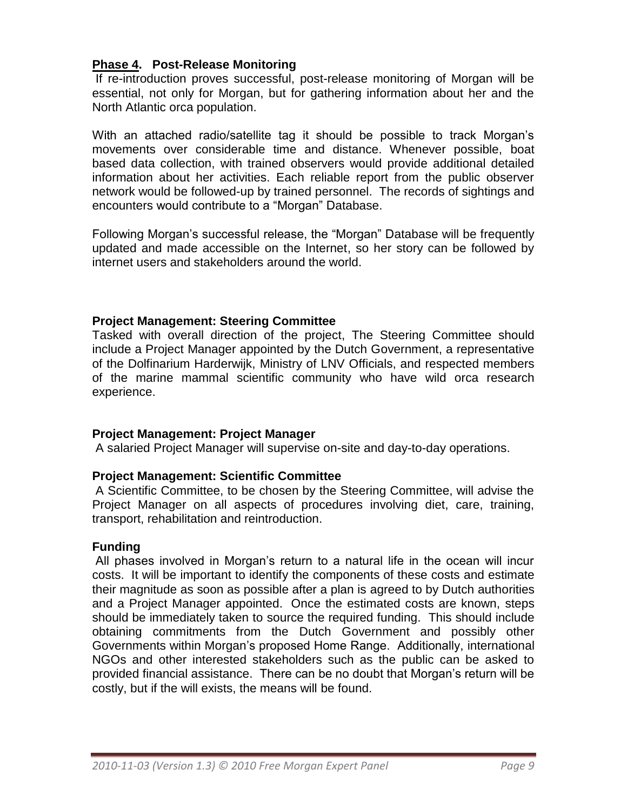## **Phase 4. Post-Release Monitoring**

If re-introduction proves successful, post-release monitoring of Morgan will be essential, not only for Morgan, but for gathering information about her and the North Atlantic orca population.

With an attached radio/satellite tag it should be possible to track Morgan's movements over considerable time and distance. Whenever possible, boat based data collection, with trained observers would provide additional detailed information about her activities. Each reliable report from the public observer network would be followed-up by trained personnel. The records of sightings and encounters would contribute to a "Morgan" Database.

Following Morgan"s successful release, the "Morgan" Database will be frequently updated and made accessible on the Internet, so her story can be followed by internet users and stakeholders around the world.

## **Project Management: Steering Committee**

Tasked with overall direction of the project, The Steering Committee should include a Project Manager appointed by the Dutch Government, a representative of the Dolfinarium Harderwijk, Ministry of LNV Officials, and respected members of the marine mammal scientific community who have wild orca research experience.

#### **Project Management: Project Manager**

A salaried Project Manager will supervise on-site and day-to-day operations.

#### **Project Management: Scientific Committee**

A Scientific Committee, to be chosen by the Steering Committee, will advise the Project Manager on all aspects of procedures involving diet, care, training, transport, rehabilitation and reintroduction.

#### **Funding**

All phases involved in Morgan's return to a natural life in the ocean will incur costs. It will be important to identify the components of these costs and estimate their magnitude as soon as possible after a plan is agreed to by Dutch authorities and a Project Manager appointed. Once the estimated costs are known, steps should be immediately taken to source the required funding. This should include obtaining commitments from the Dutch Government and possibly other Governments within Morgan"s proposed Home Range. Additionally, international NGOs and other interested stakeholders such as the public can be asked to provided financial assistance. There can be no doubt that Morgan"s return will be costly, but if the will exists, the means will be found.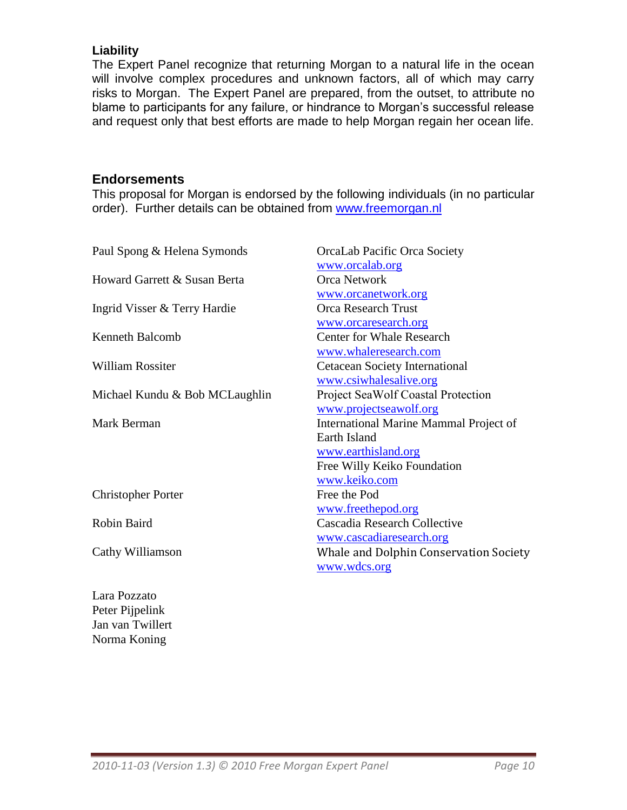# **Liability**

The Expert Panel recognize that returning Morgan to a natural life in the ocean will involve complex procedures and unknown factors, all of which may carry risks to Morgan. The Expert Panel are prepared, from the outset, to attribute no blame to participants for any failure, or hindrance to Morgan"s successful release and request only that best efforts are made to help Morgan regain her ocean life.

#### **Endorsements**

This proposal for Morgan is endorsed by the following individuals (in no particular order). Further details can be obtained from [www.freemorgan.nl](http://www.freemorgan.nl/)

| Paul Spong & Helena Symonds    | OrcaLab Pacific Orca Society              |
|--------------------------------|-------------------------------------------|
|                                | www.orcalab.org                           |
| Howard Garrett & Susan Berta   | <b>Orca Network</b>                       |
|                                | www.orcanetwork.org                       |
| Ingrid Visser & Terry Hardie   | <b>Orca Research Trust</b>                |
|                                | www.orcaresearch.org                      |
| <b>Kenneth Balcomb</b>         | <b>Center for Whale Research</b>          |
|                                | www.whaleresearch.com                     |
| <b>William Rossiter</b>        | Cetacean Society International            |
|                                | www.csiwhalesalive.org                    |
| Michael Kundu & Bob MCLaughlin | <b>Project SeaWolf Coastal Protection</b> |
|                                | www.projectseawolf.org                    |
| Mark Berman                    | International Marine Mammal Project of    |
|                                | Earth Island                              |
|                                | www.earthisland.org                       |
|                                | Free Willy Keiko Foundation               |
|                                | www.keiko.com                             |
| <b>Christopher Porter</b>      | Free the Pod                              |
|                                | www.freethepod.org                        |
| Robin Baird                    | Cascadia Research Collective              |
|                                | www.cascadiaresearch.org                  |
| Cathy Williamson               | Whale and Dolphin Conservation Society    |
|                                | www.wdcs.org                              |
|                                |                                           |

Lara Pozzato Peter Pijpelink Jan van Twillert Norma Koning